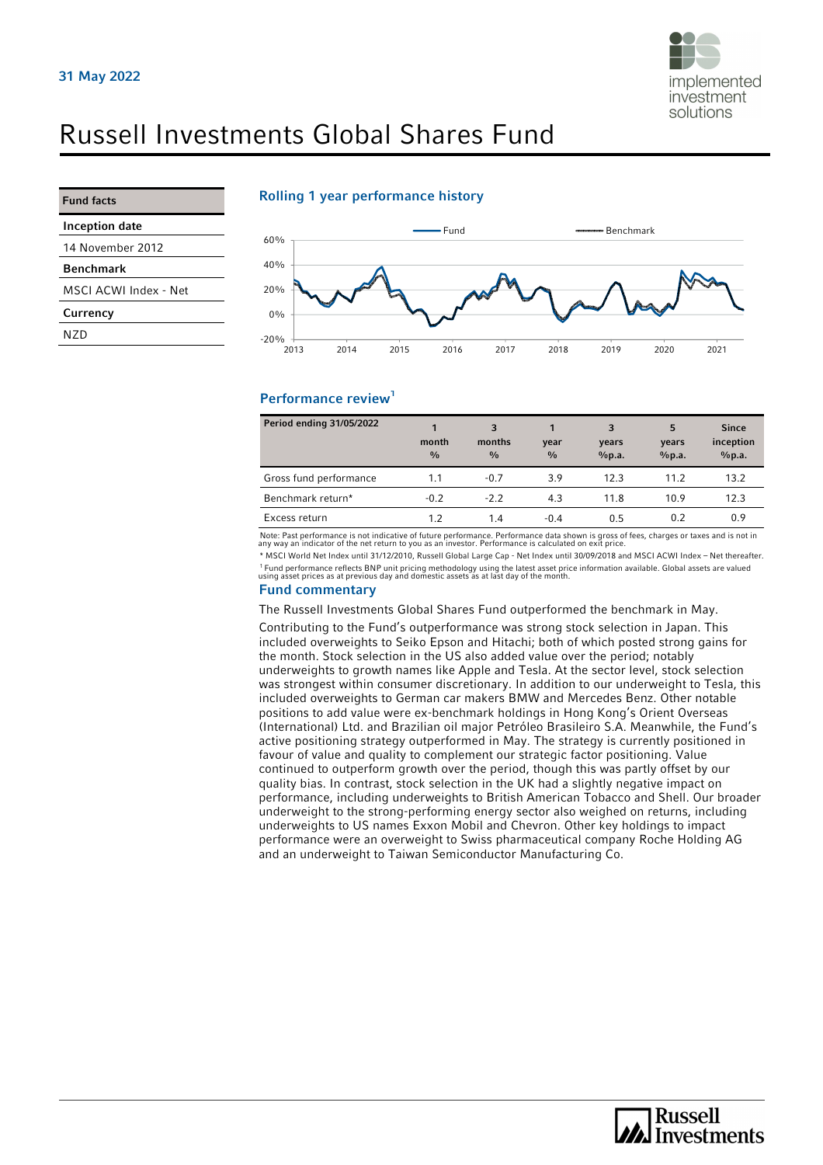

# Russell Investments Global Shares Fund

| <b>Fund facts</b>     | Roll |
|-----------------------|------|
| <b>Inception date</b> |      |
| 14 November 2012      | 60%  |
| <b>Benchmark</b>      | 40%  |
| MSCI ACWI Index - Net | 20%  |
| Currency              | 0%   |
| N7D                   | -20% |

#### Rolling 1 year performance history



#### Performance review<sup>1</sup>

| Period ending 31/05/2022 | month<br>$\frac{0}{0}$ | 3<br>months<br>$\frac{0}{0}$ | year<br>$\frac{0}{0}$ | 3<br>years<br>%p.a. | 5<br>years<br>%p.a. | <b>Since</b><br>inception<br>%p.a. |
|--------------------------|------------------------|------------------------------|-----------------------|---------------------|---------------------|------------------------------------|
| Gross fund performance   | 1.1                    | $-0.7$                       | 3.9                   | 12.3                | 11.2                | 13.2                               |
| Benchmark return*        | $-0.2$                 | $-2.2$                       | 4.3                   | 11.8                | 10.9                | 12.3                               |
| Excess return            | 1.2                    | 1.4                          | $-0.4$                | 0.5                 | 0.2                 | 0.9                                |

Note: Past performance is not indicative of future performance. Performance data shown is gross of fees, charges or taxes and is not in<br>any way an indicator of the net return to you as an investor. Performance is calculate

\* MSCI World Net Index until 31/12/2010, Russell Global Large Cap - Net Index until 30/09/2018 and MSCI ACWI Index – Net thereafter. <sup>1</sup> Fund performance reflects BNP unit pricing methodology using the latest asset price information available. Global assets are valued<br>using asset prices as at previous day and domestic assets as at last day of the month.

#### Fund commentary

The Russell Investments Global Shares Fund outperformed the benchmark in May. Contributing to the Fund's outperformance was strong stock selection in Japan. This included overweights to Seiko Epson and Hitachi; both of which posted strong gains for the month. Stock selection in the US also added value over the period; notably underweights to growth names like Apple and Tesla. At the sector level, stock selection was strongest within consumer discretionary. In addition to our underweight to Tesla, this included overweights to German car makers BMW and Mercedes Benz. Other notable positions to add value were ex-benchmark holdings in Hong Kong's Orient Overseas (International) Ltd. and Brazilian oil major Petróleo Brasileiro S.A. Meanwhile, the Fund's active positioning strategy outperformed in May. The strategy is currently positioned in favour of value and quality to complement our strategic factor positioning. Value continued to outperform growth over the period, though this was partly offset by our quality bias. In contrast, stock selection in the UK had a slightly negative impact on performance, including underweights to British American Tobacco and Shell. Our broader underweight to the strong-performing energy sector also weighed on returns, including underweights to US names Exxon Mobil and Chevron. Other key holdings to impact performance were an overweight to Swiss pharmaceutical company Roche Holding AG and an underweight to Taiwan Semiconductor Manufacturing Co.

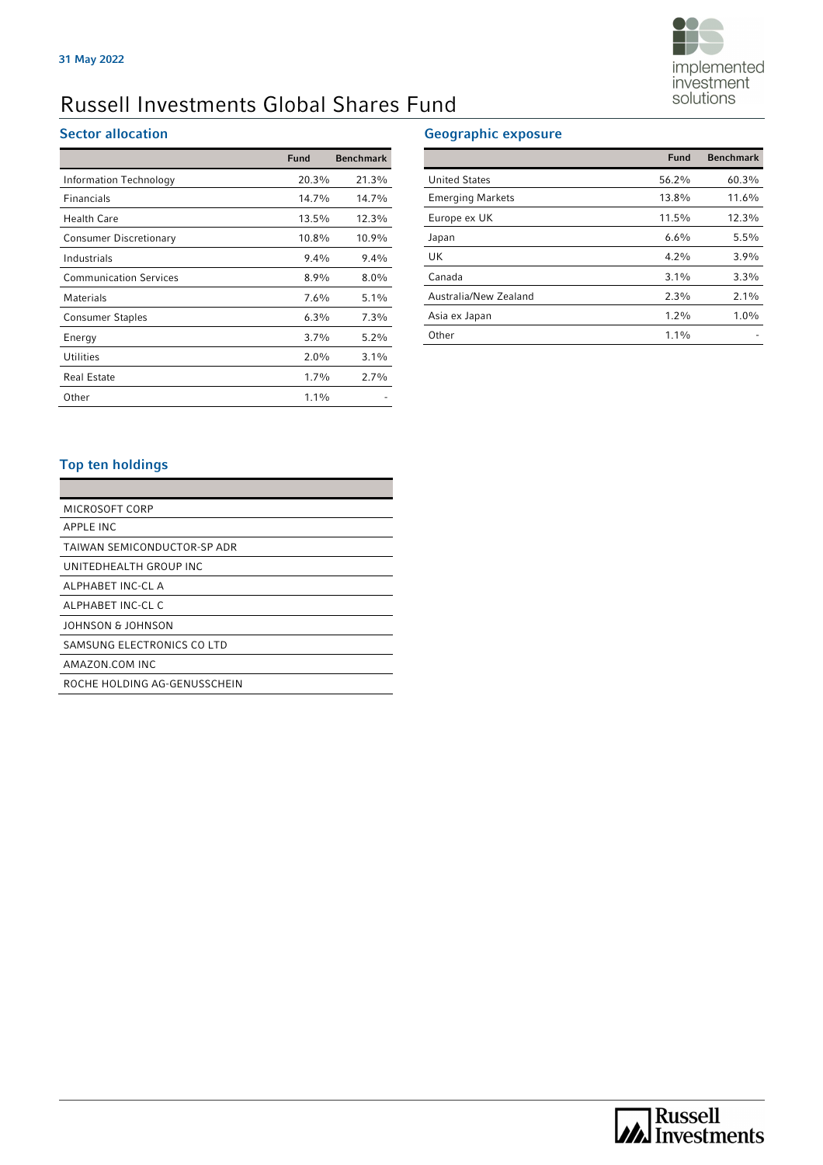

## Russell Investments Global Shares Fund

## Sector allocation

|                               | <b>Fund</b> | <b>Benchmark</b> |
|-------------------------------|-------------|------------------|
| Information Technology        | 20.3%       | 21.3%            |
| Financials                    | 14.7%       | 14.7%            |
| <b>Health Care</b>            | 13.5%       | 12.3%            |
| <b>Consumer Discretionary</b> | 10.8%       | 10.9%            |
| Industrials                   | $9.4\%$     | $9.4\%$          |
| <b>Communication Services</b> | $8.9\%$     | $8.0\%$          |
| Materials                     | $7.6\%$     | $5.1\%$          |
| <b>Consumer Staples</b>       | 6.3%        | $7.3\%$          |
| Energy                        | $3.7\%$     | $5.2\%$          |
| <b>Utilities</b>              | $2.0\%$     | 3.1%             |
| <b>Real Estate</b>            | 1.7%        | $2.7\%$          |
| Other                         | $1.1\%$     |                  |

### Geographic exposure

|                         | <b>Fund</b> | <b>Benchmark</b> |
|-------------------------|-------------|------------------|
| <b>United States</b>    | 56.2%       | 60.3%            |
| <b>Emerging Markets</b> | 13.8%       | 11.6%            |
| Europe ex UK            | 11.5%       | 12.3%            |
| Japan                   | 6.6%        | 5.5%             |
| UK                      | $4.2\%$     | 3.9%             |
| Canada                  | $3.1\%$     | 3.3%             |
| Australia/New Zealand   | 2.3%        | $2.1\%$          |
| Asia ex Japan           | $1.2\%$     | $1.0\%$          |
| Other                   | $1.1\%$     |                  |

## Top ten holdings

| MICROSOFT CORP               |
|------------------------------|
| APPLE INC                    |
| TAIWAN SEMICONDUCTOR-SP ADR  |
| UNITEDHEALTH GROUP INC       |
| ALPHABET INC-CL A            |
| ALPHABET INC-CL C            |
| JOHNSON & JOHNSON            |
| SAMSUNG ELECTRONICS CO LTD   |
| AMAZON COM INC               |
| ROCHE HOLDING AG-GENUSSCHEIN |
|                              |